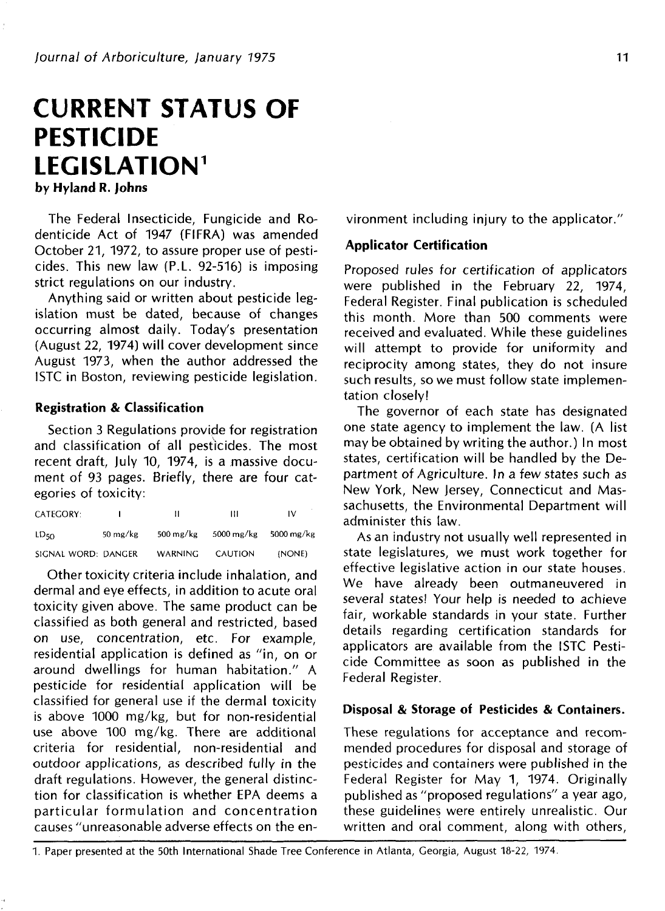# **CURRENT STATUS OF PESTICIDE LEGISLATION<sup>1</sup>**

**by Hyland R. Johns**

The Federal Insecticide, Fungicide and Rodenticide Act of 1947 (FIFRA) was amended October 21, 1972, to assure proper use of pesticides. This new law (P.L. 92-516) is imposing strict regulations on our industry.

Anything said or written about pesticide legislation must be dated, because of changes occurring almost daily. Today's presentation (August 22, 1974) will cover development since August 1973, when the author addressed the ISTC in Boston, reviewing pesticide legislation.

## **Registration & Classification**

Section 3 Regulations provide for registration and classification of all pesticides. The most recent draft, July 10, 1974, is a massive document of 93 pages. Briefly, there are four categories of toxicity:

| <b>CATEGORY:</b>    |                    | н                      | Ш          | IV         |
|---------------------|--------------------|------------------------|------------|------------|
| LD <sub>50</sub>    | $50 \text{ mg/kg}$ | $500 \,\mathrm{mg/kg}$ | 5000 mg/kg | 5000 mg/kg |
| SIGNAL WORD: DANGER |                    | <b>WARNING</b>         | CAUTION    | (NONE)     |

Other toxicity criteria include inhalation, and dermal and eye effects, in addition to acute oral toxicity given above. The same product can be classified as both general and restricted, based on use, concentration, etc. For example, residential application is defined as "in, on or around dwellings for human habitation." A pesticide for residential application will be classified for general use if the dermal toxicity is above 1000 mg/kg, but for non-residential use above 100 mg/kg. There are additional criteria for residential, non-residential and outdoor applications, as described fully in the draft regulations. However, the general distinction for classification is whether EPA deems a particular formulation and concentration causes "unreasonable adverse effects on the environment including injury to the applicator."

# **Applicator Certification**

Proposed rules for certification of applicators were published in the February 22, 1974, Federal Register. Final publication is scheduled this month. More than 500 comments were received and evaluated. While these guidelines will attempt to provide for uniformity and reciprocity among states, they do not insure such results, so we must follow state implementation closely!

The governor of each state has designated one state agency to implement the law. (A list may be obtained by writing the author.) In most states, certification will be handled by the Department of Agriculture. In a few states such as New York, New jersey, Connecticut and Massachusetts, the Environmental Department will administer this law.

As an industry not usually well represented in state legislatures, we must work together for effective legislative action in our state houses. We have already been outmaneuvered in several states! Your help is needed to achieve fair, workable standards in your state. Further details regarding certification standards for applicators are available from the ISTC Pesticide Committee as soon as published in the Federal Register.

## **Disposal** & **Storage of Pesticides & Containers.**

These regulations for acceptance and recommended procedures for disposal and storage of pesticides and containers were published in the Federal Register for May 1, 1974. Originally published as "proposed regulations" a year ago, these guidelines were entirely unrealistic. Our written and oral comment, along with others,

1. Paper presented at the 50th International Shade Tree Conference in Atlanta, Georgia, August 18-22, 1974.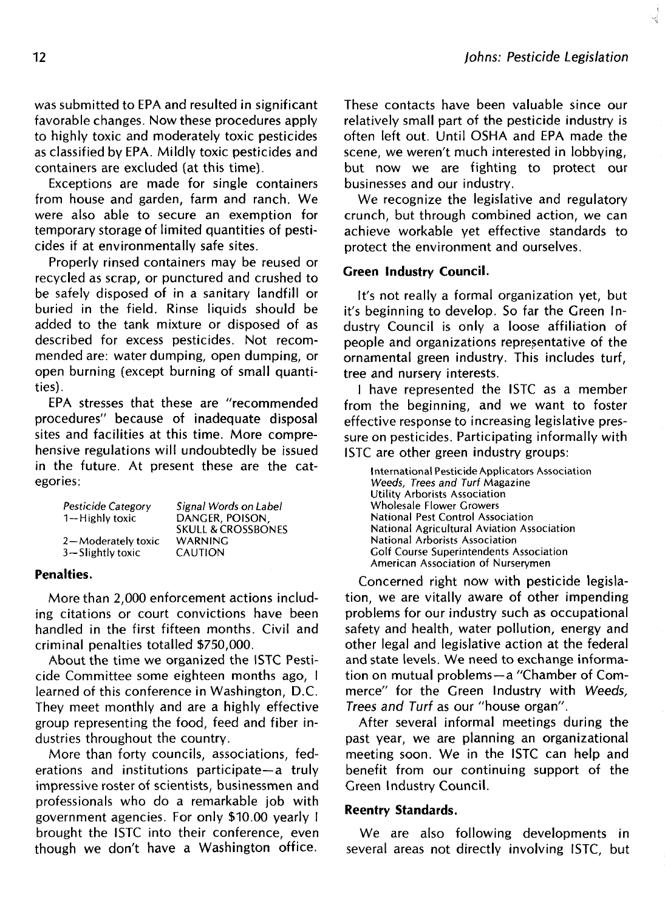was submitted to EPA and resulted in significant favorable changes. Now these procedures apply to highly toxic and moderately toxic pesticides as classified by EPA. Mildly toxic pesticides and containers are excluded (at this time).

Exceptions are made for single containers from house and garden, farm and ranch. We were also able to secure an exemption for temporary storage of limited quantities of pesticides if at environmentally safe sites.

Properly rinsed containers may be reused or recycled as scrap, or punctured and crushed to be safely disposed of in a sanitary landfill or buried in the field. Rinse liquids should be added to the tank mixture or disposed of as described for excess pesticides. Not recommended are: water dumping, open dumping, or open burning (except burning of small quantities).

EPA stresses that these are "recommended procedures" because of inadequate disposal sites and facilities at this time. More comprehensive regulations will undoubtedly be issued in the future. At present these are the categories:

| Pesticide Category   | Signal Words on Label         |
|----------------------|-------------------------------|
| 1-Highly toxic       | DANGER, POISON.               |
|                      | <b>SKULL &amp; CROSSBONES</b> |
| 2-Moderately toxic   | <b>WARNING</b>                |
| $3 -$ Slightly toxic | <b>CAUTION</b>                |

#### **Penalties.**

More than 2,000 enforcement actions including citations or court convictions have been handled in the first fifteen months. Civil and criminal penalties totalled \$750,000.

About the time we organized the ISTC Pesticide Committee some eighteen months ago, I learned of this conference in Washington, D.C. They meet monthly and are a highly effective group representing the food, feed and fiber industries throughout the country.

More than forty councils, associations, federations and institutions participate—a truly impressive roster of scientists, businessmen and professionals who do a remarkable job with government agencies. For only \$10.00 yearly I brought the ISTC into their conference, even though we don't have a Washington office.

These contacts have been valuable since our relatively small part of the pesticide industry is often left out. Until OSHA and EPA made the scene, we weren't much interested in lobbying, but now we are fighting to protect our businesses and our industry.

We recognize the legislative and regulatory crunch, but through combined action, we can achieve workable yet effective standards to protect the environment and ourselves.

#### **Green Industry Council.**

It's not really a formal organization yet, but it's beginning to develop. So far the Green Industry Council is only a loose affiliation of people and organizations representative of the ornamental green industry. This includes turf, tree and nursery interests.

I have represented the ISTC as a member from the beginning, and we want to foster effective response to increasing legislative pressure on pesticides. Participating informally with ISTC are other green industry groups:

International Pesticide Applicators Association Weeds, Trees and Turf Magazine Utility Arborists Association Wholesale Flower Growers National Pest Control Association National Agricultural Aviation Association National Arborists Association Golf Course Superintendents Association American Association of Nurserymen

Concerned right now with pesticide legislation, we are vitally aware of other impending problems for our industry such as occupational safety and health, water pollution, energy and other legal and legislative action at the federal and state levels. We need to exchange information on mutual problems—a "Chamber of Commerce" for the Green Industry with Weeds, Trees and Turf as our "house organ".

After several informal meetings during the past year, we are planning an organizational meeting soon. We in the ISTC can help and benefit from our continuing support of the Green Industry Council.

#### **Reentry Standards.**

We are also following developments in several areas not directly involving ISTC, but